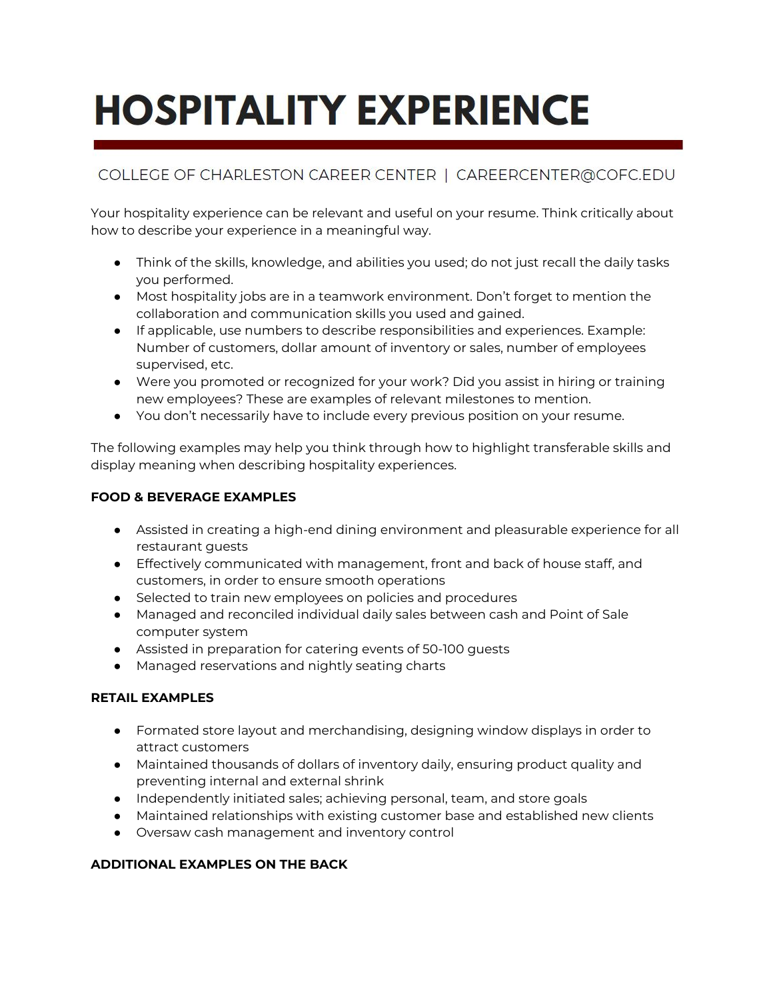# **HOSPITALITY EXPERIENCE**

# COLLEGE OF CHARLESTON CAREER CENTER | CAREERCENTER@COFC.EDU

Your hospitality experience can be relevant and useful on your resume. Think critically about how to describe your experience in a meaningful way.

- Think of the skills, knowledge, and abilities you used; do not just recall the daily tasks you performed.
- Most hospitality jobs are in a teamwork environment. Don't forget to mention the collaboration and communication skills you used and gained.
- If applicable, use numbers to describe responsibilities and experiences. Example: Number of customers, dollar amount of inventory or sales, number of employees supervised, etc.
- Were you promoted or recognized for your work? Did you assist in hiring or training new employees? These are examples of relevant milestones to mention.
- You don't necessarily have to include every previous position on your resume.

The following examples may help you think through how to highlight transferable skills and display meaning when describing hospitality experiences.

# **FOOD & BEVERAGE EXAMPLES**

- Assisted in creating a high-end dining environment and pleasurable experience for all restaurant guests
- Effectively communicated with management, front and back of house staff, and customers, in order to ensure smooth operations
- Selected to train new employees on policies and procedures
- Managed and reconciled individual daily sales between cash and Point of Sale computer system
- Assisted in preparation for catering events of 50-100 guests
- Managed reservations and nightly seating charts

## **RETAIL EXAMPLES**

- Formated store layout and merchandising, designing window displays in order to attract customers
- Maintained thousands of dollars of inventory daily, ensuring product quality and preventing internal and external shrink
- Independently initiated sales; achieving personal, team, and store goals
- Maintained relationships with existing customer base and established new clients
- Oversaw cash management and inventory control

# **ADDITIONAL EXAMPLES ON THE BACK**